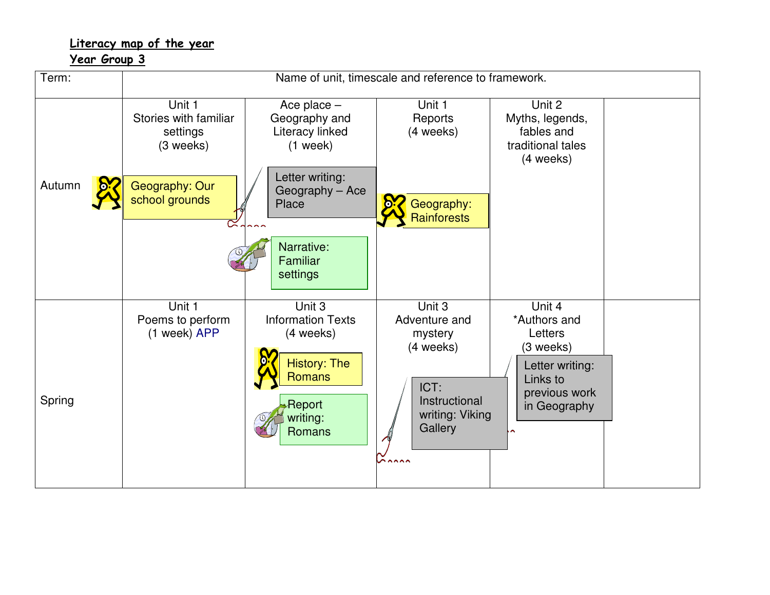## Literacy map of the year

Year Group 3